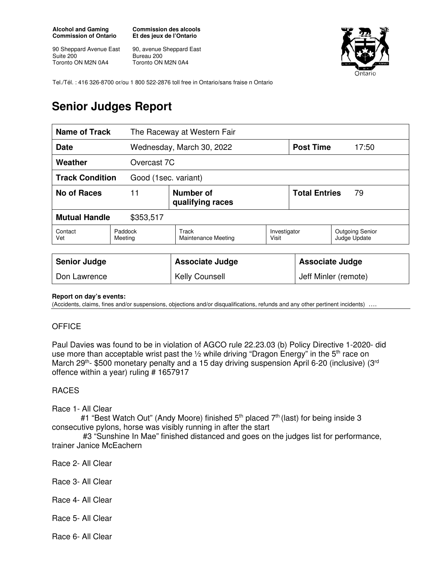#### **Alcohol and Gaming Commission of Ontario**

90 Sheppard Avenue East Suite 200 Toronto ON M2N 0A4

**Commission des alcools Et des jeux de l'Ontario** 

90, avenue Sheppard East Bureau 200 Toronto ON M2N 0A4



Tel./Tél. : 416 326-8700 or/ou 1 800 522-2876 toll free in Ontario/sans fraise n Ontario

# **Senior Judges Report**

| <b>Name of Track</b>                           |                    | The Raceway at Western Fair   |                       |                            |                                        |
|------------------------------------------------|--------------------|-------------------------------|-----------------------|----------------------------|----------------------------------------|
| <b>Date</b>                                    |                    | Wednesday, March 30, 2022     |                       | <b>Post Time</b>           | 17:50                                  |
| Weather                                        |                    | Overcast 7C                   |                       |                            |                                        |
| <b>Track Condition</b><br>Good (1sec. variant) |                    |                               |                       |                            |                                        |
| No of Races                                    | 11                 | Number of<br>qualifying races |                       | <b>Total Entries</b><br>79 |                                        |
| <b>Mutual Handle</b><br>\$353,517              |                    |                               |                       |                            |                                        |
| Contact<br>Vet                                 | Paddock<br>Meeting | Track<br>Maintenance Meeting  | Investigator<br>Visit |                            | <b>Outgoing Senior</b><br>Judge Update |
|                                                |                    |                               |                       |                            |                                        |
| <b>Senior Judge</b>                            |                    | <b>Associate Judge</b>        |                       | <b>Associate Judge</b>     |                                        |

### **Report on day's events:**

(Accidents, claims, fines and/or suspensions, objections and/or disqualifications, refunds and any other pertinent incidents)

Don Lawrence **Network** | Kelly Counsell **Access** | Jeff Minler (remote)

## **OFFICE**

Paul Davies was found to be in violation of AGCO rule 22.23.03 (b) Policy Directive 1-2020- did use more than acceptable wrist past the  $\frac{1}{2}$  while driving "Dragon Energy" in the 5<sup>th</sup> race on March 29<sup>th</sup>- \$500 monetary penalty and a 15 day driving suspension April 6-20 (inclusive) (3<sup>rd</sup> offence within a year) ruling # 1657917

### RACES

Race 1- All Clear

#1 "Best Watch Out" (Andy Moore) finished 5<sup>th</sup> placed 7<sup>th</sup> (last) for being inside 3 consecutive pylons, horse was visibly running in after the start

 #3 "Sunshine In Mae" finished distanced and goes on the judges list for performance, trainer Janice McEachern

- Race 2- All Clear
- Race 3- All Clear
- Race 4- All Clear
- Race 5- All Clear

Race 6- All Clear